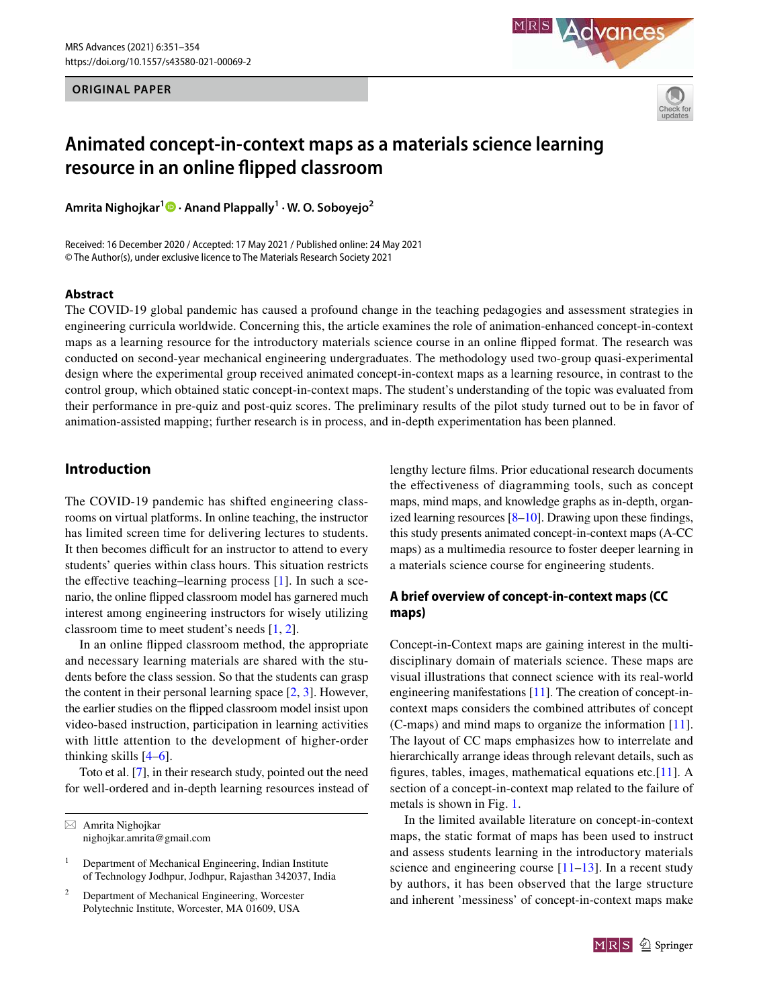**ORIGINAL PAPER**





# **Animated concept‑in‑context maps as a materials science learning resource in an online flipped classroom**

**Amrita Nighojkar<sup>1</sup> · Anand Plappally<sup>1</sup> · W. O. Soboyejo<sup>2</sup>**

Received: 16 December 2020 / Accepted: 17 May 2021 / Published online: 24 May 2021 © The Author(s), under exclusive licence to The Materials Research Society 2021

#### **Abstract**

The COVID-19 global pandemic has caused a profound change in the teaching pedagogies and assessment strategies in engineering curricula worldwide. Concerning this, the article examines the role of animation-enhanced concept-in-context maps as a learning resource for the introductory materials science course in an online flipped format. The research was conducted on second-year mechanical engineering undergraduates. The methodology used two-group quasi-experimental design where the experimental group received animated concept-in-context maps as a learning resource, in contrast to the control group, which obtained static concept-in-context maps. The student's understanding of the topic was evaluated from their performance in pre-quiz and post-quiz scores. The preliminary results of the pilot study turned out to be in favor of animation-assisted mapping; further research is in process, and in-depth experimentation has been planned.

# **Introduction**

The COVID-19 pandemic has shifted engineering classrooms on virtual platforms. In online teaching, the instructor has limited screen time for delivering lectures to students. It then becomes difficult for an instructor to attend to every students' queries within class hours. This situation restricts the effective teaching–learning process [\[1](#page-3-0)]. In such a scenario, the online flipped classroom model has garnered much interest among engineering instructors for wisely utilizing classroom time to meet student's needs [[1](#page-3-0), [2](#page-3-1)].

In an online flipped classroom method, the appropriate and necessary learning materials are shared with the students before the class session. So that the students can grasp the content in their personal learning space  $[2, 3]$  $[2, 3]$  $[2, 3]$ . However, the earlier studies on the flipped classroom model insist upon video-based instruction, participation in learning activities with little attention to the development of higher-order thinking skills [\[4–](#page-3-3)[6\]](#page-3-4).

Toto et al. [[7\]](#page-3-5), in their research study, pointed out the need for well-ordered and in-depth learning resources instead of lengthy lecture films. Prior educational research documents the effectiveness of diagramming tools, such as concept maps, mind maps, and knowledge graphs as in-depth, organized learning resources [[8–](#page-3-6)[10](#page-3-7)]. Drawing upon these findings, this study presents animated concept-in-context maps (A-CC maps) as a multimedia resource to foster deeper learning in a materials science course for engineering students.

# **A brief overview of concept‑in‑context maps (CC maps)**

Concept-in-Context maps are gaining interest in the multidisciplinary domain of materials science. These maps are visual illustrations that connect science with its real-world engineering manifestations [[11\]](#page-3-8). The creation of concept-incontext maps considers the combined attributes of concept (C-maps) and mind maps to organize the information [\[11](#page-3-8)]. The layout of CC maps emphasizes how to interrelate and hierarchically arrange ideas through relevant details, such as figures, tables, images, mathematical equations etc.[\[11](#page-3-8)]. A section of a concept-in-context map related to the failure of metals is shown in Fig. [1.](#page-1-0)

In the limited available literature on concept-in-context maps, the static format of maps has been used to instruct and assess students learning in the introductory materials science and engineering course  $[11-13]$  $[11-13]$  $[11-13]$ . In a recent study by authors, it has been observed that the large structure and inherent 'messiness' of concept-in-context maps make



 $\boxtimes$  Amrita Nighojkar nighojkar.amrita@gmail.com

<sup>1</sup> Department of Mechanical Engineering, Indian Institute of Technology Jodhpur, Jodhpur, Rajasthan 342037, India

<sup>2</sup> Department of Mechanical Engineering, Worcester Polytechnic Institute, Worcester, MA 01609, USA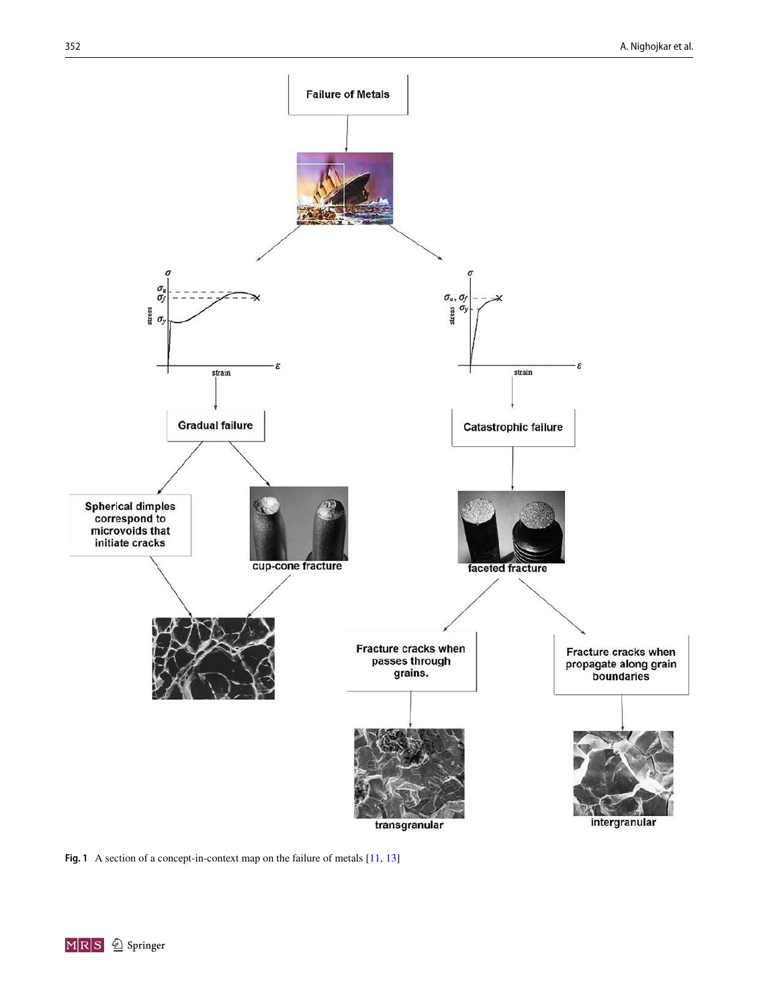

<span id="page-1-0"></span>**Fig. 1** A section of a concept-in-context map on the failure of metals [\[11,](#page-3-8) [13](#page-3-9)]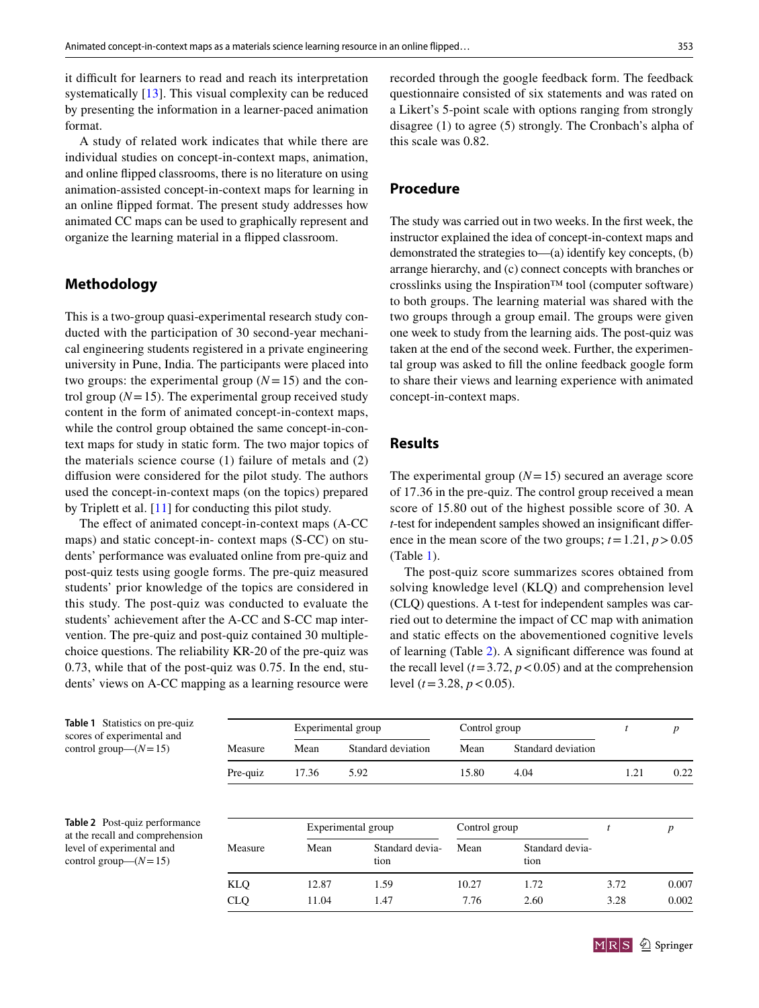it difficult for learners to read and reach its interpretation systematically [[13\]](#page-3-9). This visual complexity can be reduced by presenting the information in a learner-paced animation format.

A study of related work indicates that while there are individual studies on concept-in-context maps, animation, and online flipped classrooms, there is no literature on using animation-assisted concept-in-context maps for learning in an online flipped format. The present study addresses how animated CC maps can be used to graphically represent and organize the learning material in a flipped classroom.

# **Methodology**

This is a two-group quasi-experimental research study conducted with the participation of 30 second-year mechanical engineering students registered in a private engineering university in Pune, India. The participants were placed into two groups: the experimental group  $(N=15)$  and the control group  $(N = 15)$ . The experimental group received study content in the form of animated concept-in-context maps, while the control group obtained the same concept-in-context maps for study in static form. The two major topics of the materials science course (1) failure of metals and (2) diffusion were considered for the pilot study. The authors used the concept-in-context maps (on the topics) prepared by Triplett et al. [\[11](#page-3-8)] for conducting this pilot study.

The effect of animated concept-in-context maps (A-CC maps) and static concept-in- context maps (S-CC) on students' performance was evaluated online from pre-quiz and post-quiz tests using google forms. The pre-quiz measured students' prior knowledge of the topics are considered in this study. The post-quiz was conducted to evaluate the students' achievement after the A-CC and S-CC map intervention. The pre-quiz and post-quiz contained 30 multiplechoice questions. The reliability KR-20 of the pre-quiz was 0.73, while that of the post-quiz was 0.75. In the end, students' views on A-CC mapping as a learning resource were recorded through the google feedback form. The feedback questionnaire consisted of six statements and was rated on a Likert's 5-point scale with options ranging from strongly disagree (1) to agree (5) strongly. The Cronbach's alpha of this scale was 0.82.

#### **Procedure**

The study was carried out in two weeks. In the first week, the instructor explained the idea of concept-in-context maps and demonstrated the strategies to—(a) identify key concepts, (b) arrange hierarchy, and (c) connect concepts with branches or crosslinks using the Inspiration™ tool (computer software) to both groups. The learning material was shared with the two groups through a group email. The groups were given one week to study from the learning aids. The post-quiz was taken at the end of the second week. Further, the experimental group was asked to fill the online feedback google form to share their views and learning experience with animated concept-in-context maps.

## **Results**

The experimental group  $(N=15)$  secured an average score of 17.36 in the pre-quiz. The control group received a mean score of 15.80 out of the highest possible score of 30. A *t*-test for independent samples showed an insignificant difference in the mean score of the two groups;  $t = 1.21$ ,  $p > 0.05$ (Table [1\)](#page-2-0).

The post-quiz score summarizes scores obtained from solving knowledge level (KLQ) and comprehension level (CLQ) questions. A t-test for independent samples was carried out to determine the impact of CC map with animation and static effects on the abovementioned cognitive levels of learning (Table [2\)](#page-2-1). A significant difference was found at the recall level  $(t=3.72, p<0.05)$  and at the comprehension level  $(t = 3.28, p < 0.05)$ .

<span id="page-2-0"></span>

| <b>Table 1</b> Statistics on pre-quiz<br>scores of experimental and     |            | Experimental group |                         | Control group |                         |      | $\boldsymbol{p}$ |
|-------------------------------------------------------------------------|------------|--------------------|-------------------------|---------------|-------------------------|------|------------------|
| control group— $(N=15)$                                                 | Measure    | Mean               | Standard deviation      | Mean          | Standard deviation      |      |                  |
|                                                                         | Pre-quiz   | 17.36              | 5.92                    | 15.80         | 4.04                    | 1.21 | 0.22             |
| <b>Table 2</b> Post-quiz performance<br>at the recall and comprehension |            | Experimental group |                         | Control group |                         |      | p                |
| level of experimental and<br>control group— $(N=15)$                    | Measure    | Mean               | Standard devia-<br>tion | Mean          | Standard devia-<br>tion |      |                  |
|                                                                         | <b>KLQ</b> | 12.87              | 1.59                    | 10.27         | 1.72                    | 3.72 | 0.007            |
|                                                                         | <b>CLQ</b> | 11.04              | 1.47                    | 7.76          | 2.60                    | 3.28 | 0.002            |

<span id="page-2-1"></span>